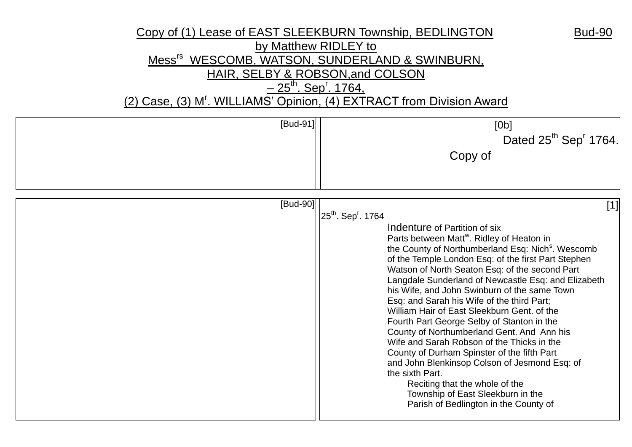## Copy of (1) Lease of EAST SLEEKBURN Township, BEDLINGTON Bud-90 by Matthew RIDLEY to Mess<sup>rs</sup> WESCOMB, WATSON, SUNDERLAND & SWINBURN, HAIR, SELBY & ROBSON,and COLSON <u>– 25<sup>th</sup>. Sep<sup>r</sup>. 1764,</u>

(2) Case, (3) M<sup>r</sup>. WILLIAMS' Opinion, (4) EXTRACT from Division Award

| [Bud-91] | [Ob]<br>Dated 25 <sup>th</sup> Sep <sup>r</sup> 1764.<br>Copy of                                                                                                                                                                                                                                                                                                                                                                                                                                                                                                                                                                                                                                                                                                                                                                                                                                         |
|----------|----------------------------------------------------------------------------------------------------------------------------------------------------------------------------------------------------------------------------------------------------------------------------------------------------------------------------------------------------------------------------------------------------------------------------------------------------------------------------------------------------------------------------------------------------------------------------------------------------------------------------------------------------------------------------------------------------------------------------------------------------------------------------------------------------------------------------------------------------------------------------------------------------------|
| [Bud-90] | $[1]$<br>25 <sup>th</sup> . Sep <sup>r</sup> . 1764<br>Indenture of Partition of six<br>Parts between Matt <sup>w</sup> . Ridley of Heaton in<br>the County of Northumberland Esq: Nich <sup>s</sup> . Wescomb<br>of the Temple London Esq: of the first Part Stephen<br>Watson of North Seaton Esq: of the second Part<br>Langdale Sunderland of Newcastle Esq: and Elizabeth<br>his Wife, and John Swinburn of the same Town<br>Esq: and Sarah his Wife of the third Part;<br>William Hair of East Sleekburn Gent, of the<br>Fourth Part George Selby of Stanton in the<br>County of Northumberland Gent. And Ann his<br>Wife and Sarah Robson of the Thicks in the<br>County of Durham Spinster of the fifth Part<br>and John Blenkinsop Colson of Jesmond Esq: of<br>the sixth Part.<br>Reciting that the whole of the<br>Township of East Sleekburn in the<br>Parish of Bedlington in the County of |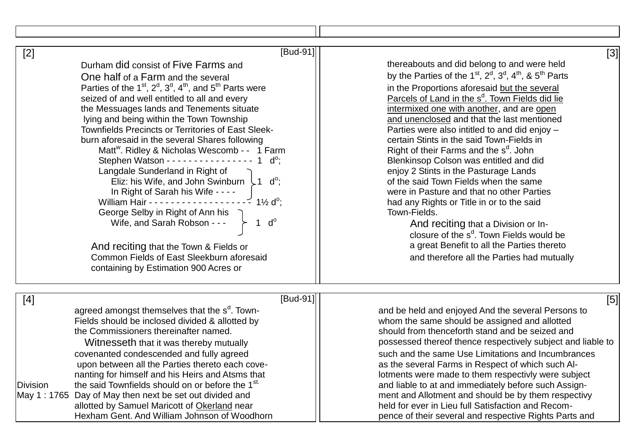| $[$ Bud-91] $]$<br>$[2]$                                                                                                                                                                                                                                                                                                                                                                                                                                                                                                                                                                                                                                                                                                                                                                                                                                                                                                                                             | $[3]$                                                                                                                                                                                                                                                                                                                                                                                                                                                                                                                                                                                                                                                                                                                                                                                                                                                                                                           |
|----------------------------------------------------------------------------------------------------------------------------------------------------------------------------------------------------------------------------------------------------------------------------------------------------------------------------------------------------------------------------------------------------------------------------------------------------------------------------------------------------------------------------------------------------------------------------------------------------------------------------------------------------------------------------------------------------------------------------------------------------------------------------------------------------------------------------------------------------------------------------------------------------------------------------------------------------------------------|-----------------------------------------------------------------------------------------------------------------------------------------------------------------------------------------------------------------------------------------------------------------------------------------------------------------------------------------------------------------------------------------------------------------------------------------------------------------------------------------------------------------------------------------------------------------------------------------------------------------------------------------------------------------------------------------------------------------------------------------------------------------------------------------------------------------------------------------------------------------------------------------------------------------|
| Durham did consist of Five Farms and<br>One half of a Farm and the several<br>Parties of the $1^{st}$ , $2^d$ , $3^d$ , $4^{th}$ , and $5^{th}$ Parts were<br>seized of and well entitled to all and every<br>the Messuages lands and Tenements situate<br>lying and being within the Town Township<br><b>Townfields Precincts or Territories of East Sleek-</b><br>burn aforesaid in the several Shares following<br>Matt <sup>w</sup> . Ridley & Nicholas Wescomb - - 1 Farm<br>Stephen Watson - - - - - - - - - - - - - - - -<br>$d^o$ :<br>Langdale Sunderland in Right of<br>Eliz: his Wife, and John Swinburn $\downarrow$ 1 d°;<br>In Right of Sarah his Wife - - - -<br>$1\frac{1}{2}$ d <sup>o</sup> ;<br>William Hair - - - - - - - - -<br>George Selby in Right of Ann his<br>$d^{\circ}$<br>Wife, and Sarah Robson - - -<br>And reciting that the Town & Fields or<br>Common Fields of East Sleekburn aforesaid<br>containing by Estimation 900 Acres or | thereabouts and did belong to and were held<br>by the Parties of the $1st$ , $2d$ , $3d$ , $4th$ , & $5th$ Parts<br>in the Proportions aforesaid but the several<br>Parcels of Land in the s <sup>d</sup> . Town Fields did lie<br>intermixed one with another, and are open<br>and unenclosed and that the last mentioned<br>Parties were also intitled to and did enjoy -<br>certain Stints in the said Town-Fields in<br>Right of their Farms and the s <sup>d</sup> . John<br>Blenkinsop Colson was entitled and did<br>enjoy 2 Stints in the Pasturage Lands<br>of the said Town Fields when the same<br>were in Pasture and that no other Parties<br>had any Rights or Title in or to the said<br>Town-Fields.<br>And reciting that a Division or In-<br>closure of the s <sup>d</sup> . Town Fields would be<br>a great Benefit to all the Parties thereto<br>and therefore all the Parties had mutually |
| [Bud-91]<br>$[4]$                                                                                                                                                                                                                                                                                                                                                                                                                                                                                                                                                                                                                                                                                                                                                                                                                                                                                                                                                    | [5]                                                                                                                                                                                                                                                                                                                                                                                                                                                                                                                                                                                                                                                                                                                                                                                                                                                                                                             |
| agreed amongst themselves that the s <sup>d</sup> . Town-<br>Fields should be inclosed divided & allotted by<br>the Commissioners thereinafter named.<br>Witnesseth that it was thereby mutually<br>covenanted condescended and fully agreed<br>upon between all the Parties thereto each cove-<br>nanting for himself and his Heirs and Atsms that<br>the said Townfields should on or before the 1 <sup>st.</sup><br><b>Division</b><br>May 1: 1765 Day of May then next be set out divided and<br>allotted by Samuel Maricott of Okerland near<br>Hexham Gent. And William Johnson of Woodhorn                                                                                                                                                                                                                                                                                                                                                                    | and be held and enjoyed And the several Persons to<br>whom the same should be assigned and allotted<br>should from thenceforth stand and be seized and<br>possessed thereof thence respectively subject and liable to<br>such and the same Use Limitations and Incumbrances<br>as the several Farms in Respect of which such Al-<br>lotments were made to them respectivly were subject<br>and liable to at and immediately before such Assign-<br>ment and Allotment and should be by them respectivy<br>held for ever in Lieu full Satisfaction and Recom-<br>pence of their several and respective Rights Parts and                                                                                                                                                                                                                                                                                          |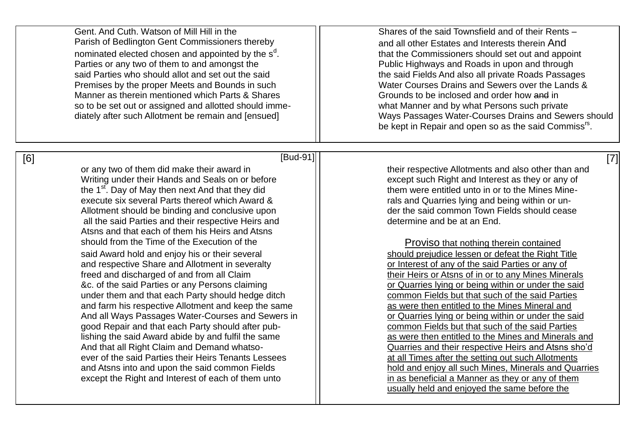| Gent. And Cuth. Watson of Mill Hill in the<br>Parish of Bedlington Gent Commissioners thereby<br>nominated elected chosen and appointed by the s <sup>d</sup> .<br>Parties or any two of them to and amongst the<br>said Parties who should allot and set out the said<br>Premises by the proper Meets and Bounds in such<br>Manner as therein mentioned which Parts & Shares<br>so to be set out or assigned and allotted should imme-<br>diately after such Allotment be remain and [ensued]                                                                                                                                                                                                                                                                                                                                                                                                                                                                                                                                                                                                                                                      | Shares of the said Townsfield and of their Rents -<br>and all other Estates and Interests therein And<br>that the Commissioners should set out and appoint<br>Public Highways and Roads in upon and through<br>the said Fields And also all private Roads Passages<br>Water Courses Drains and Sewers over the Lands &<br>Grounds to be inclosed and order how and in<br>what Manner and by what Persons such private<br>Ways Passages Water-Courses Drains and Sewers should<br>be kept in Repair and open so as the said Commiss <sup>rs</sup> .                                                                                                                                                                                                                                                                                                                                                                                                                                                                                                                                                                     |
|-----------------------------------------------------------------------------------------------------------------------------------------------------------------------------------------------------------------------------------------------------------------------------------------------------------------------------------------------------------------------------------------------------------------------------------------------------------------------------------------------------------------------------------------------------------------------------------------------------------------------------------------------------------------------------------------------------------------------------------------------------------------------------------------------------------------------------------------------------------------------------------------------------------------------------------------------------------------------------------------------------------------------------------------------------------------------------------------------------------------------------------------------------|------------------------------------------------------------------------------------------------------------------------------------------------------------------------------------------------------------------------------------------------------------------------------------------------------------------------------------------------------------------------------------------------------------------------------------------------------------------------------------------------------------------------------------------------------------------------------------------------------------------------------------------------------------------------------------------------------------------------------------------------------------------------------------------------------------------------------------------------------------------------------------------------------------------------------------------------------------------------------------------------------------------------------------------------------------------------------------------------------------------------|
| [Bud-91]<br>[6]<br>or any two of them did make their award in<br>Writing under their Hands and Seals on or before<br>the 1 <sup>st</sup> . Day of May then next And that they did<br>execute six several Parts thereof which Award &<br>Allotment should be binding and conclusive upon<br>all the said Parties and their respective Heirs and<br>Atsns and that each of them his Heirs and Atsns<br>should from the Time of the Execution of the<br>said Award hold and enjoy his or their several<br>and respective Share and Allotment in severalty<br>freed and discharged of and from all Claim<br>&c. of the said Parties or any Persons claiming<br>under them and that each Party should hedge ditch<br>and farm his respective Allotment and keep the same<br>And all Ways Passages Water-Courses and Sewers in<br>good Repair and that each Party should after pub-<br>lishing the said Award abide by and fulfil the same<br>And that all Right Claim and Demand whatso-<br>ever of the said Parties their Heirs Tenants Lessees<br>and Atsns into and upon the said common Fields<br>except the Right and Interest of each of them unto | $[7]$<br>their respective Allotments and also other than and<br>except such Right and Interest as they or any of<br>them were entitled unto in or to the Mines Mine-<br>rals and Quarries lying and being within or un-<br>der the said common Town Fields should cease<br>determine and be at an End.<br>Proviso that nothing therein contained<br>should prejudice lessen or defeat the Right Title<br>or Interest of any of the said Parties or any of<br>their Heirs or Atsns of in or to any Mines Minerals<br>or Quarries lying or being within or under the said<br>common Fields but that such of the said Parties<br>as were then entitled to the Mines Mineral and<br>or Quarries lying or being within or under the said<br>common Fields but that such of the said Parties<br>as were then entitled to the Mines and Minerals and<br>Quarries and their respective Heirs and Atsns sho'd<br>at all Times after the setting out such Allotments<br>hold and enjoy all such Mines, Minerals and Quarries<br>in as beneficial a Manner as they or any of them<br>usually held and enjoyed the same before the |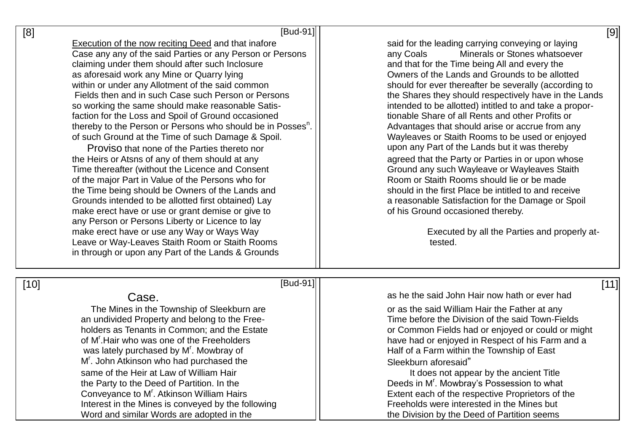| [8]    | $[Bud-91]$                                                                                                                                                                                                                                                                                                                                                                                                                                                                                                                                                                                                                                                                                                                                                                                                                                                                                                                                                                                                                                                                                                                                                             | [9]                                                                                                                                                                                                                                                                                                                                                                                                                                                                                                                                                                                                                                                                                                                                                                                                                                                                                                                                                        |
|--------|------------------------------------------------------------------------------------------------------------------------------------------------------------------------------------------------------------------------------------------------------------------------------------------------------------------------------------------------------------------------------------------------------------------------------------------------------------------------------------------------------------------------------------------------------------------------------------------------------------------------------------------------------------------------------------------------------------------------------------------------------------------------------------------------------------------------------------------------------------------------------------------------------------------------------------------------------------------------------------------------------------------------------------------------------------------------------------------------------------------------------------------------------------------------|------------------------------------------------------------------------------------------------------------------------------------------------------------------------------------------------------------------------------------------------------------------------------------------------------------------------------------------------------------------------------------------------------------------------------------------------------------------------------------------------------------------------------------------------------------------------------------------------------------------------------------------------------------------------------------------------------------------------------------------------------------------------------------------------------------------------------------------------------------------------------------------------------------------------------------------------------------|
|        | <b>Execution of the now reciting Deed and that inafore</b><br>Case any any of the said Parties or any Person or Persons<br>claiming under them should after such Inclosure<br>as aforesaid work any Mine or Quarry lying<br>within or under any Allotment of the said common<br>Fields then and in such Case such Person or Persons<br>so working the same should make reasonable Satis-<br>faction for the Loss and Spoil of Ground occasioned<br>thereby to the Person or Persons who should be in Posses <sup>n</sup> .<br>of such Ground at the Time of such Damage & Spoil.<br>Proviso that none of the Parties thereto nor<br>the Heirs or Atsns of any of them should at any<br>Time thereafter (without the Licence and Consent<br>of the major Part in Value of the Persons who for<br>the Time being should be Owners of the Lands and<br>Grounds intended to be allotted first obtained) Lay<br>make erect have or use or grant demise or give to<br>any Person or Persons Liberty or Licence to lay<br>make erect have or use any Way or Ways Way<br>Leave or Way-Leaves Staith Room or Staith Rooms<br>in through or upon any Part of the Lands & Grounds | said for the leading carrying conveying or laying<br>Minerals or Stones whatsoever<br>any Coals<br>and that for the Time being All and every the<br>Owners of the Lands and Grounds to be allotted<br>should for ever thereafter be severally (according to<br>the Shares they should respectively have in the Lands<br>intended to be allotted) intitled to and take a propor-<br>tionable Share of all Rents and other Profits or<br>Advantages that should arise or accrue from any<br>Wayleaves or Staith Rooms to be used or enjoyed<br>upon any Part of the Lands but it was thereby<br>agreed that the Party or Parties in or upon whose<br>Ground any such Wayleave or Wayleaves Staith<br>Room or Staith Rooms should lie or be made<br>should in the first Place be intitled to and receive<br>a reasonable Satisfaction for the Damage or Spoil<br>of his Ground occasioned thereby.<br>Executed by all the Parties and properly at-<br>tested. |
| $[10]$ | $[Bud-91]$                                                                                                                                                                                                                                                                                                                                                                                                                                                                                                                                                                                                                                                                                                                                                                                                                                                                                                                                                                                                                                                                                                                                                             | [11]                                                                                                                                                                                                                                                                                                                                                                                                                                                                                                                                                                                                                                                                                                                                                                                                                                                                                                                                                       |
|        | Case.                                                                                                                                                                                                                                                                                                                                                                                                                                                                                                                                                                                                                                                                                                                                                                                                                                                                                                                                                                                                                                                                                                                                                                  | as he the said John Hair now hath or ever had                                                                                                                                                                                                                                                                                                                                                                                                                                                                                                                                                                                                                                                                                                                                                                                                                                                                                                              |
|        | The Mines in the Township of Sleekburn are<br>an undivided Property and belong to the Free-<br>holders as Tenants in Common; and the Estate                                                                                                                                                                                                                                                                                                                                                                                                                                                                                                                                                                                                                                                                                                                                                                                                                                                                                                                                                                                                                            | or as the said William Hair the Father at any<br>Time before the Division of the said Town-Fields<br>or Common Fields had or enjoyed or could or might                                                                                                                                                                                                                                                                                                                                                                                                                                                                                                                                                                                                                                                                                                                                                                                                     |

holders as Tenants in Common; and the Estate **or Common Fields had or enjoyed or could or** might of M'. Hair who was one of the Freeholders have had or enjoyed in Respect of his Farm and a was lately purchased by  $M<sup>r</sup>$ . Mowbray of Half of a Farm within the Township of East M<sup>r</sup>. John Atkinson who had purchased the **Sleekburn aforesaid**" same of the Heir at Law of William Hair **It contract to the Australian Hair** It does not appear by the ancient Title the Party to the Deed of Partition. In the Deeds in M'. Mowbray's Possession to what Conveyance to M<sup>r</sup>. Atkinson William Hairs Extent each of the respective Proprietors of the Interest in the Mines is conveyed by the following  $\vert$  | Freeholds were interested in the Mines but Word and similar Words are adopted in the the the Nivision by the Deed of Partition seems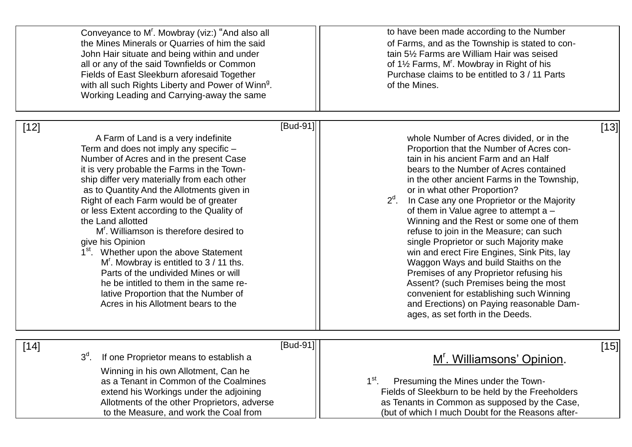| to have been made according to the Number<br>of Farms, and as the Township is stated to con-<br>tain 51/2 Farms are William Hair was seised<br>of 1½ Farms, M'. Mowbray in Right of his<br>Purchase claims to be entitled to 3 / 11 Parts<br>of the Mines.                                                                                                                                                                                                                                                                                                                                                                                                                                                                                                                                             |
|--------------------------------------------------------------------------------------------------------------------------------------------------------------------------------------------------------------------------------------------------------------------------------------------------------------------------------------------------------------------------------------------------------------------------------------------------------------------------------------------------------------------------------------------------------------------------------------------------------------------------------------------------------------------------------------------------------------------------------------------------------------------------------------------------------|
| [13]<br>whole Number of Acres divided, or in the<br>Proportion that the Number of Acres con-<br>tain in his ancient Farm and an Half<br>bears to the Number of Acres contained<br>in the other ancient Farms in the Township,<br>or in what other Proportion?<br>$2d$ .<br>In Case any one Proprietor or the Majority<br>of them in Value agree to attempt a -<br>Winning and the Rest or some one of them<br>refuse to join in the Measure; can such<br>single Proprietor or such Majority make<br>win and erect Fire Engines, Sink Pits, lay<br>Waggon Ways and build Staiths on the<br>Premises of any Proprietor refusing his<br>Assent? (such Premises being the most<br>convenient for establishing such Winning<br>and Erections) on Paying reasonable Dam-<br>ages, as set forth in the Deeds. |
| $[15]$<br>M'. Williamsons' Opinion.<br>$1^{\rm st}$ .<br>Presuming the Mines under the Town-<br>Fields of Sleekburn to be held by the Freeholders<br>as Tenants in Common as supposed by the Case,                                                                                                                                                                                                                                                                                                                                                                                                                                                                                                                                                                                                     |
|                                                                                                                                                                                                                                                                                                                                                                                                                                                                                                                                                                                                                                                                                                                                                                                                        |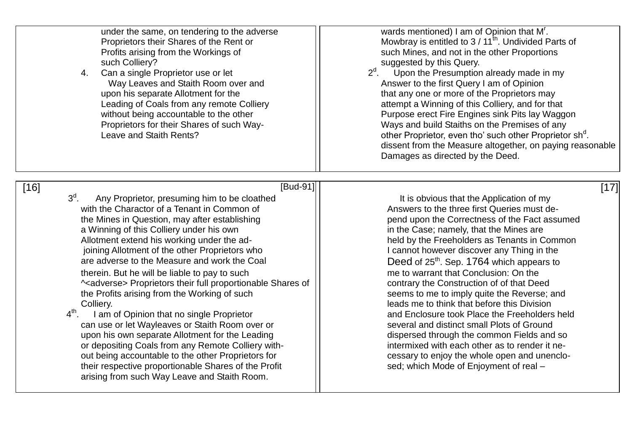| under the same, on tendering to the adverse<br>Proprietors their Shares of the Rent or<br>Profits arising from the Workings of<br>such Colliery?<br>Can a single Proprietor use or let<br>4.<br>Way Leaves and Staith Room over and<br>upon his separate Allotment for the<br>Leading of Coals from any remote Colliery<br>without being accountable to the other<br>Proprietors for their Shares of such Way-<br>Leave and Staith Rents?                                                                                                                                                                                                                                                                                                                                                                                                                                                                                                                                       | wards mentioned) I am of Opinion that M'.<br>Mowbray is entitled to 3 / 11 <sup>th</sup> . Undivided Parts of<br>such Mines, and not in the other Proportions<br>suggested by this Query.<br>$2d$ .<br>Upon the Presumption already made in my<br>Answer to the first Query I am of Opinion<br>that any one or more of the Proprietors may<br>attempt a Winning of this Colliery, and for that<br>Purpose erect Fire Engines sink Pits lay Waggon<br>Ways and build Staiths on the Premises of any<br>other Proprietor, even tho' such other Proprietor sh <sup>d</sup> .<br>dissent from the Measure altogether, on paying reasonable<br>Damages as directed by the Deed.                                                                                                                                                      |
|---------------------------------------------------------------------------------------------------------------------------------------------------------------------------------------------------------------------------------------------------------------------------------------------------------------------------------------------------------------------------------------------------------------------------------------------------------------------------------------------------------------------------------------------------------------------------------------------------------------------------------------------------------------------------------------------------------------------------------------------------------------------------------------------------------------------------------------------------------------------------------------------------------------------------------------------------------------------------------|---------------------------------------------------------------------------------------------------------------------------------------------------------------------------------------------------------------------------------------------------------------------------------------------------------------------------------------------------------------------------------------------------------------------------------------------------------------------------------------------------------------------------------------------------------------------------------------------------------------------------------------------------------------------------------------------------------------------------------------------------------------------------------------------------------------------------------|
| [Bud-91]<br>$[16]$<br>$3d$ .<br>Any Proprietor, presuming him to be cloathed<br>with the Charactor of a Tenant in Common of<br>the Mines in Question, may after establishing<br>a Winning of this Colliery under his own<br>Allotment extend his working under the ad-<br>joining Allotment of the other Proprietors who<br>are adverse to the Measure and work the Coal<br>therein. But he will be liable to pay to such<br>^ <adverse> Proprietors their full proportionable Shares of<br/>the Profits arising from the Working of such<br/>Colliery.<br/><math>4^{\text{th}}</math>.<br/>I am of Opinion that no single Proprietor<br/>can use or let Wayleaves or Staith Room over or<br/>upon his own separate Allotment for the Leading<br/>or depositing Coals from any Remote Colliery with-<br/>out being accountable to the other Proprietors for<br/>their respective proportionable Shares of the Profit<br/>arising from such Way Leave and Staith Room.</adverse> | [17]<br>It is obvious that the Application of my<br>Answers to the three first Queries must de-<br>pend upon the Correctness of the Fact assumed<br>in the Case; namely, that the Mines are<br>held by the Freeholders as Tenants in Common<br>I cannot however discover any Thing in the<br>Deed of 25 <sup>th</sup> . Sep. 1764 which appears to<br>me to warrant that Conclusion: On the<br>contrary the Construction of of that Deed<br>seems to me to imply quite the Reverse; and<br>leads me to think that before this Division<br>and Enclosure took Place the Freeholders held<br>several and distinct small Plots of Ground<br>dispersed through the common Fields and so<br>intermixed with each other as to render it ne-<br>cessary to enjoy the whole open and unenclo-<br>sed; which Mode of Enjoyment of real - |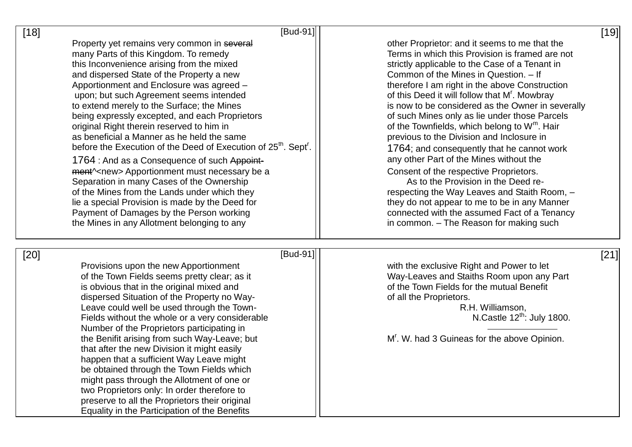| $[18]$ | $[Bud-91]$                                                                                                               |                                                                                                    | $[19]$ |
|--------|--------------------------------------------------------------------------------------------------------------------------|----------------------------------------------------------------------------------------------------|--------|
|        | Property yet remains very common in several                                                                              | other Proprietor: and it seems to me that the                                                      |        |
|        | many Parts of this Kingdom. To remedy                                                                                    | Terms in which this Provision is framed are not                                                    |        |
|        | this Inconvenience arising from the mixed                                                                                | strictly applicable to the Case of a Tenant in                                                     |        |
|        | and dispersed State of the Property a new                                                                                | Common of the Mines in Question. - If                                                              |        |
|        | Apportionment and Enclosure was agreed -                                                                                 | therefore I am right in the above Construction                                                     |        |
|        | upon; but such Agreement seems intended                                                                                  | of this Deed it will follow that M'. Mowbray                                                       |        |
|        | to extend merely to the Surface; the Mines<br>being expressly excepted, and each Proprietors                             | is now to be considered as the Owner in severally<br>of such Mines only as lie under those Parcels |        |
|        | original Right therein reserved to him in                                                                                | of the Townfields, which belong to W <sup>m</sup> . Hair                                           |        |
|        | as beneficial a Manner as he held the same                                                                               | previous to the Division and Inclosure in                                                          |        |
|        | before the Execution of the Deed of Execution of 25 <sup>th</sup> . Sept <sup>r</sup> .                                  | 1764; and consequently that he cannot work                                                         |        |
|        |                                                                                                                          | any other Part of the Mines without the                                                            |        |
|        | 1764 : And as a Consequence of such Appoint-<br>ment <sup><math>\sim</math></sup> new> Apportionment must necessary be a | Consent of the respective Proprietors.                                                             |        |
|        | Separation in many Cases of the Ownership                                                                                | As to the Provision in the Deed re-                                                                |        |
|        | of the Mines from the Lands under which they                                                                             | respecting the Way Leaves and Staith Room, -                                                       |        |
|        | lie a special Provision is made by the Deed for                                                                          | they do not appear to me to be in any Manner                                                       |        |
|        | Payment of Damages by the Person working                                                                                 | connected with the assumed Fact of a Tenancy                                                       |        |
|        | the Mines in any Allotment belonging to any                                                                              | in common. - The Reason for making such                                                            |        |
|        |                                                                                                                          |                                                                                                    |        |
| $[20]$ | [Bud-91]                                                                                                                 |                                                                                                    | [21]   |
|        | Provisions upon the new Apportionment                                                                                    | with the exclusive Right and Power to let                                                          |        |
|        | of the Town Fields seems pretty clear; as it                                                                             | Way-Leaves and Staiths Room upon any Part                                                          |        |
|        | is obvious that in the original mixed and                                                                                | of the Town Fields for the mutual Benefit                                                          |        |
|        | dispersed Situation of the Property no Way-                                                                              | of all the Proprietors.                                                                            |        |
|        | Leave could well be used through the Town-                                                                               | R.H. Williamson,                                                                                   |        |
|        | Fields without the whole or a very considerable                                                                          | N.Castle $12^{\text{th}}$ : July 1800.                                                             |        |
|        | Number of the Proprietors participating in                                                                               |                                                                                                    |        |
|        | the Benifit arising from such Way-Leave; but                                                                             | M'. W. had 3 Guineas for the above Opinion.                                                        |        |
|        | that after the new Division it might easily                                                                              |                                                                                                    |        |
|        | happen that a sufficient Way Leave might                                                                                 |                                                                                                    |        |
|        | be obtained through the Town Fields which                                                                                |                                                                                                    |        |
|        | might pass through the Allotment of one or<br>two Proprietors only: In order therefore to                                |                                                                                                    |        |
|        | preserve to all the Proprietors their original                                                                           |                                                                                                    |        |
|        | Equality in the Participation of the Benefits                                                                            |                                                                                                    |        |
|        |                                                                                                                          |                                                                                                    |        |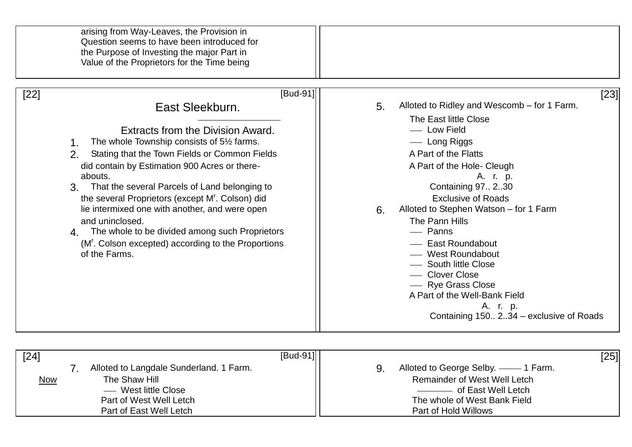| arising from Way-Leaves, the Provision in<br>Question seems to have been introduced for<br>the Purpose of Investing the major Part in<br>Value of the Proprietors for the Time being                                                                                                                                                                                                                                                                                                                                                                                            |                                                                                                                                                                                                                                                                                                                                                                                                                                                                                                                     |
|---------------------------------------------------------------------------------------------------------------------------------------------------------------------------------------------------------------------------------------------------------------------------------------------------------------------------------------------------------------------------------------------------------------------------------------------------------------------------------------------------------------------------------------------------------------------------------|---------------------------------------------------------------------------------------------------------------------------------------------------------------------------------------------------------------------------------------------------------------------------------------------------------------------------------------------------------------------------------------------------------------------------------------------------------------------------------------------------------------------|
| $[Bud-91]$<br>$[22]$<br>East Sleekburn.<br>Extracts from the Division Award.<br>The whole Township consists of 5½ farms.<br>Stating that the Town Fields or Common Fields<br>2 <sub>1</sub><br>did contain by Estimation 900 Acres or there-<br>abouts.<br>3. That the several Parcels of Land belonging to<br>the several Proprietors (except M'. Colson) did<br>lie intermixed one with another, and were open<br>and uninclosed.<br>The whole to be divided among such Proprietors<br>4.<br>(M <sup>r</sup> . Colson excepted) according to the Proportions<br>of the Farms. | [23]<br>Alloted to Ridley and Wescomb – for 1 Farm.<br>5.<br>The East little Close<br>- Low Field<br>- Long Riggs<br>A Part of the Flatts<br>A Part of the Hole- Cleugh<br>A. r. p.<br>Containing 97 230<br><b>Exclusive of Roads</b><br>Alloted to Stephen Watson - for 1 Farm<br>6.<br>The Pann Hills<br>- Panns<br>- East Roundabout<br>- West Roundabout<br>- South little Close<br>- Clover Close<br>- Rye Grass Close<br>A Part of the Well-Bank Field<br>A. r. p.<br>Containing 150 234 - exclusive of Roads |

| $[24]$     | $[Bud-91]$                              | [25]                                |
|------------|-----------------------------------------|-------------------------------------|
|            | Alloted to Langdale Sunderland. 1 Farm. | Alloted to George Selby. —— 1 Farm. |
| <u>Now</u> | The Shaw Hill                           | <b>Remainder of West Well Letch</b> |
|            | — West little Close                     | ------------ of East Well Letch     |
|            | Part of West Well Letch                 | The whole of West Bank Field        |
|            | Part of East Well Letch                 | Part of Hold Willows                |